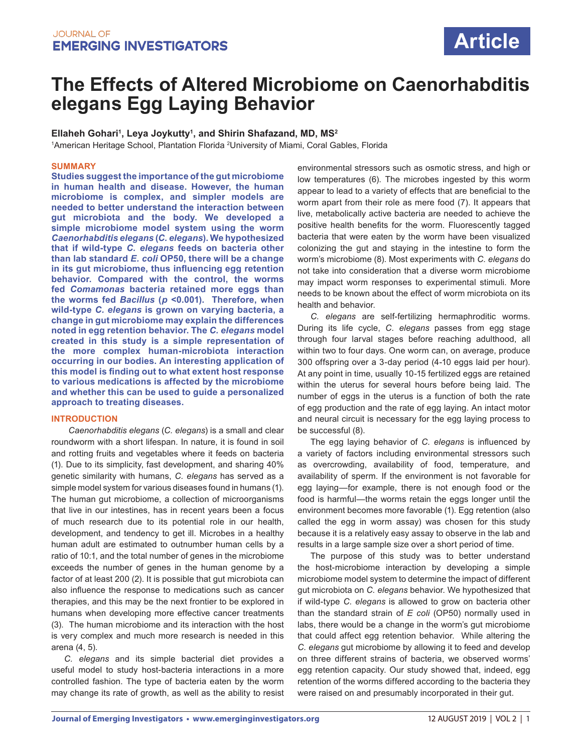

# **The Effects of Altered Microbiome on Caenorhabditis elegans Egg Laying Behavior**

**Ellaheh Gohari1 , Leya Joykutty1 , and Shirin Shafazand, MD, MS2**

<sup>1</sup>American Heritage School, Plantation Florida <sup>2</sup>University of Miami, Coral Gables, Florida

#### **SUMMARY**

**Studies suggest the importance of the gut microbiome in human health and disease. However, the human microbiome is complex, and simpler models are needed to better understand the interaction between gut microbiota and the body. We developed a simple microbiome model system using the worm**  *Caenorhabditis elegans* **(***C. elegans***). We hypothesized that if wild-type** *C. elegans* **feeds on bacteria other than lab standard** *E. coli* **OP50, there will be a change in its gut microbiome, thus influencing egg retention behavior. Compared with the control, the worms fed** *Comamonas* **bacteria retained more eggs than the worms fed** *Bacillus* **(***p* **<0.001). Therefore, when wild-type** *C. elegans* **is grown on varying bacteria, a change in gut microbiome may explain the differences noted in egg retention behavior. The** *C. elegans* **model created in this study is a simple representation of the more complex human-microbiota interaction occurring in our bodies. An interesting application of this model is finding out to what extent host response to various medications is affected by the microbiome and whether this can be used to guide a personalized approach to treating diseases.**

# **INTRODUCTION**

*Caenorhabditis elegans* (*C. elegans*) is a small and clear roundworm with a short lifespan. In nature, it is found in soil and rotting fruits and vegetables where it feeds on bacteria (1). Due to its simplicity, fast development, and sharing 40% genetic similarity with humans, *C. elegans* has served as a simple model system for various diseases found in humans (1). The human gut microbiome, a collection of microorganisms that live in our intestines, has in recent years been a focus of much research due to its potential role in our health, development, and tendency to get ill. Microbes in a healthy human adult are estimated to outnumber human cells by a ratio of 10:1, and the total number of genes in the microbiome exceeds the number of genes in the human genome by a factor of at least 200 (2). It is possible that gut microbiota can also influence the response to medications such as cancer therapies, and this may be the next frontier to be explored in humans when developing more effective cancer treatments (3). The human microbiome and its interaction with the host is very complex and much more research is needed in this arena (4, 5).

*C. elegans* and its simple bacterial diet provides a useful model to study host-bacteria interactions in a more controlled fashion. The type of bacteria eaten by the worm may change its rate of growth, as well as the ability to resist environmental stressors such as osmotic stress, and high or low temperatures (6). The microbes ingested by this worm appear to lead to a variety of effects that are beneficial to the worm apart from their role as mere food (7). It appears that live, metabolically active bacteria are needed to achieve the positive health benefits for the worm. Fluorescently tagged bacteria that were eaten by the worm have been visualized colonizing the gut and staying in the intestine to form the worm's microbiome (8). Most experiments with *C. elegans* do not take into consideration that a diverse worm microbiome may impact worm responses to experimental stimuli. More needs to be known about the effect of worm microbiota on its health and behavior.

*C. elegans* are self-fertilizing hermaphroditic worms. During its life cycle, *C. elegans* passes from egg stage through four larval stages before reaching adulthood, all within two to four days. One worm can, on average, produce 300 offspring over a 3-day period (4-10 eggs laid per hour). At any point in time, usually 10-15 fertilized eggs are retained within the uterus for several hours before being laid. The number of eggs in the uterus is a function of both the rate of egg production and the rate of egg laying. An intact motor and neural circuit is necessary for the egg laying process to be successful (8).

The egg laying behavior of *C. elegans* is influenced by a variety of factors including environmental stressors such as overcrowding, availability of food, temperature, and availability of sperm. If the environment is not favorable for egg laying—for example, there is not enough food or the food is harmful—the worms retain the eggs longer until the environment becomes more favorable (1). Egg retention (also called the egg in worm assay) was chosen for this study because it is a relatively easy assay to observe in the lab and results in a large sample size over a short period of time.

The purpose of this study was to better understand the host-microbiome interaction by developing a simple microbiome model system to determine the impact of different gut microbiota on *C. elegans* behavior. We hypothesized that if wild-type *C. elegans* is allowed to grow on bacteria other than the standard strain of *E coli* (OP50) normally used in labs, there would be a change in the worm's gut microbiome that could affect egg retention behavior. While altering the *C. elegans* gut microbiome by allowing it to feed and develop on three different strains of bacteria, we observed worms' egg retention capacity. Our study showed that, indeed, egg retention of the worms differed according to the bacteria they were raised on and presumably incorporated in their gut.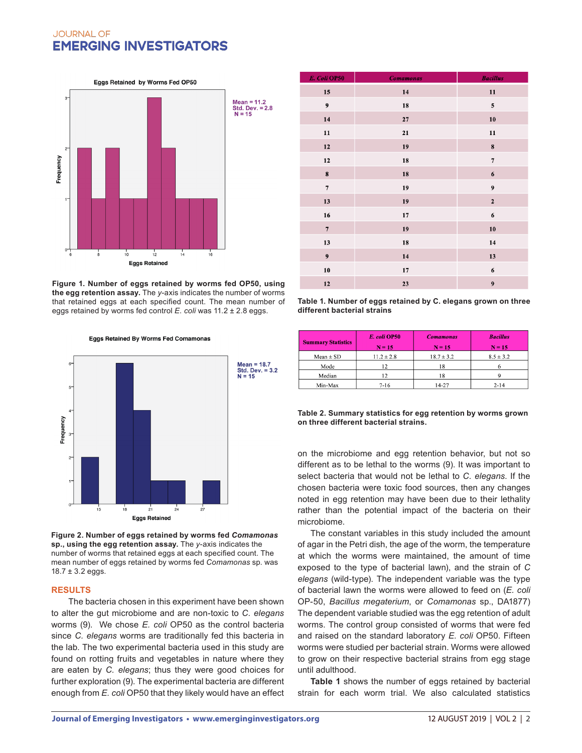# **JOURNAL OF EMERGING INVESTIGATORS**

Eggs Retained by Worms Fed OP50

 $Mean = 11.2$ Std. Dev.  $= 2.8$  $N = 15$ Frequency **Eggs Retained** 

**Figure 1. Number of eggs retained by worms fed OP50, using the egg retention assay.** The *y*-axis indicates the number of worms that retained eggs at each specified count. The mean number of eggs retained by worms fed control *E. coli* was 11.2 ± 2.8 eggs.

**Eggs Retained By Worms Fed Comamonas** 

Mean =  $18.7$ Std. Dev.  $= 3.2$  $N = 15$ **Frequency** ı<br>18  $\frac{1}{24}$ **Eggs Retained** 

**Figure 2. Number of eggs retained by worms fed** *Comamonas*  **sp., using the egg retention assay.** The *y*-axis indicates the number of worms that retained eggs at each specified count. The mean number of eggs retained by worms fed *Comamonas* sp. was  $18.7 \pm 3.2$  eggs.

#### **RESULTS**

The bacteria chosen in this experiment have been shown to alter the gut microbiome and are non-toxic to *C. elegans* worms (9). We chose *E. coli* OP50 as the control bacteria since *C. elegans* worms are traditionally fed this bacteria in the lab. The two experimental bacteria used in this study are found on rotting fruits and vegetables in nature where they are eaten by *C. elegans*; thus they were good choices for further exploration (9). The experimental bacteria are different enough from *E. coli* OP50 that they likely would have an effect

| E. Coli OP50     | <b>Comamonas</b> | <b>Bacillus</b>  |
|------------------|------------------|------------------|
| 15               | 14               | 11               |
| $\boldsymbol{9}$ | 18               | 5                |
| 14               | 27               | 10               |
| 11               | 21               | 11               |
| $12$             | 19               | $\pmb{8}$        |
| ${\bf 12}$       | 18               | $\overline{7}$   |
| $\pmb{8}$        | 18               | $\boldsymbol{6}$ |
| $\overline{7}$   | 19               | $\boldsymbol{9}$ |
| 13               | 19               | $\mathbf 2$      |
| 16               | 17               | $\boldsymbol{6}$ |
| $\overline{7}$   | 19               | ${\bf 10}$       |
| 13               | 18               | 14               |
| $\boldsymbol{9}$ | 14               | 13               |
| 10               | ${\bf 17}$       | 6                |
| 12               | 23               | $\boldsymbol{9}$ |

**Table 1. Number of eggs retained by C. elegans grown on three different bacterial strains**

| <b>Summary Statistics</b> | E. coli OP50<br>$N = 15$ | <b>Comamonas</b><br>$N = 15$ | <b>Bacillus</b><br>$N = 15$ |
|---------------------------|--------------------------|------------------------------|-----------------------------|
| $Mean \pm SD$             | $11.2 \pm 2.8$           | $18.7 \pm 3.2$               | $8.5 \pm 3.2$               |
| Mode                      | 12                       | 18                           |                             |
| Median                    | 12                       | 18                           |                             |
| Min-Max                   | $7 - 16$                 | 14-27                        | $2 - 14$                    |

**Table 2. Summary statistics for egg retention by worms grown on three different bacterial strains.**

on the microbiome and egg retention behavior, but not so different as to be lethal to the worms (9). It was important to select bacteria that would not be lethal to *C. elegans*. If the chosen bacteria were toxic food sources, then any changes noted in egg retention may have been due to their lethality rather than the potential impact of the bacteria on their microbiome.

The constant variables in this study included the amount of agar in the Petri dish, the age of the worm, the temperature at which the worms were maintained, the amount of time exposed to the type of bacterial lawn), and the strain of *C elegans* (wild-type). The independent variable was the type of bacterial lawn the worms were allowed to feed on (*E. coli* OP-50, *Bacillus megaterium*, or *Comamonas* sp., DA1877) The dependent variable studied was the egg retention of adult worms. The control group consisted of worms that were fed and raised on the standard laboratory *E. coli* OP50. Fifteen worms were studied per bacterial strain. Worms were allowed to grow on their respective bacterial strains from egg stage until adulthood.

**Table 1** shows the number of eggs retained by bacterial strain for each worm trial. We also calculated statistics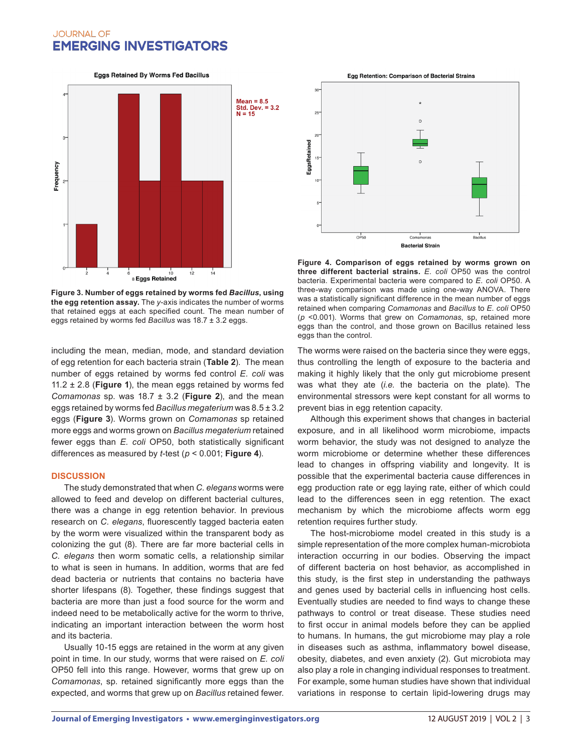# **JOURNAL OF EMERGING INVESTIGATORS**

**Eggs Retained By Worms Fed Bacillus** 



**Figure 3. Number of eggs retained by worms fed** *Bacillus***, using the egg retention assay.** The *y*-axis indicates the number of worms that retained eggs at each specified count. The mean number of eggs retained by worms fed *Bacillus* was 18.7 ± 3.2 eggs.

including the mean, median, mode, and standard deviation of egg retention for each bacteria strain (**Table 2**). The mean number of eggs retained by worms fed control *E. coli* was 11.2 ± 2.8 (**Figure 1**), the mean eggs retained by worms fed *Comamonas* sp. was  $18.7 \pm 3.2$  (Figure 2), and the mean eggs retained by worms fed *Bacillus megaterium* was 8.5 ± 3.2 eggs (**Figure 3**). Worms grown on *Comamonas* sp retained more eggs and worms grown on *Bacillus megaterium* retained fewer eggs than *E. coli* OP50, both statistically significant differences as measured by *t*-test (*p* < 0.001; **Figure 4**).

# **DISCUSSION**

The study demonstrated that when *C. elegans* worms were allowed to feed and develop on different bacterial cultures, there was a change in egg retention behavior. In previous research on *C. elegans*, fluorescently tagged bacteria eaten by the worm were visualized within the transparent body as colonizing the gut (8). There are far more bacterial cells in *C. elegans* then worm somatic cells, a relationship similar to what is seen in humans. In addition, worms that are fed dead bacteria or nutrients that contains no bacteria have shorter lifespans (8). Together, these findings suggest that bacteria are more than just a food source for the worm and indeed need to be metabolically active for the worm to thrive, indicating an important interaction between the worm host and its bacteria.

Usually 10-15 eggs are retained in the worm at any given point in time. In our study, worms that were raised on *E. coli* OP50 fell into this range. However, worms that grew up on *Comamonas*, sp. retained significantly more eggs than the expected, and worms that grew up on *Bacillus* retained fewer.

Egg Retention: Comparison of Bacterial Strains



**Figure 4. Comparison of eggs retained by worms grown on three different bacterial strains.** *E. coli* OP50 was the control bacteria. Experimental bacteria were compared to *E. coli* OP50. A three-way comparison was made using one-way ANOVA. There was a statistically significant difference in the mean number of eggs retained when comparing *Comamonas* and *Bacillus* to *E. coli* OP50 (*p* <0.001). Worms that grew on *Comamonas*, sp, retained more eggs than the control, and those grown on Bacillus retained less eggs than the control.

The worms were raised on the bacteria since they were eggs, thus controlling the length of exposure to the bacteria and making it highly likely that the only gut microbiome present was what they ate (*i.e.* the bacteria on the plate). The environmental stressors were kept constant for all worms to prevent bias in egg retention capacity.

Although this experiment shows that changes in bacterial exposure, and in all likelihood worm microbiome, impacts worm behavior, the study was not designed to analyze the worm microbiome or determine whether these differences lead to changes in offspring viability and longevity. It is possible that the experimental bacteria cause differences in egg production rate or egg laying rate, either of which could lead to the differences seen in egg retention. The exact mechanism by which the microbiome affects worm egg retention requires further study.

The host-microbiome model created in this study is a simple representation of the more complex human-microbiota interaction occurring in our bodies. Observing the impact of different bacteria on host behavior, as accomplished in this study, is the first step in understanding the pathways and genes used by bacterial cells in influencing host cells. Eventually studies are needed to find ways to change these pathways to control or treat disease. These studies need to first occur in animal models before they can be applied to humans. In humans, the gut microbiome may play a role in diseases such as asthma, inflammatory bowel disease, obesity, diabetes, and even anxiety (2). Gut microbiota may also play a role in changing individual responses to treatment. For example, some human studies have shown that individual variations in response to certain lipid-lowering drugs may